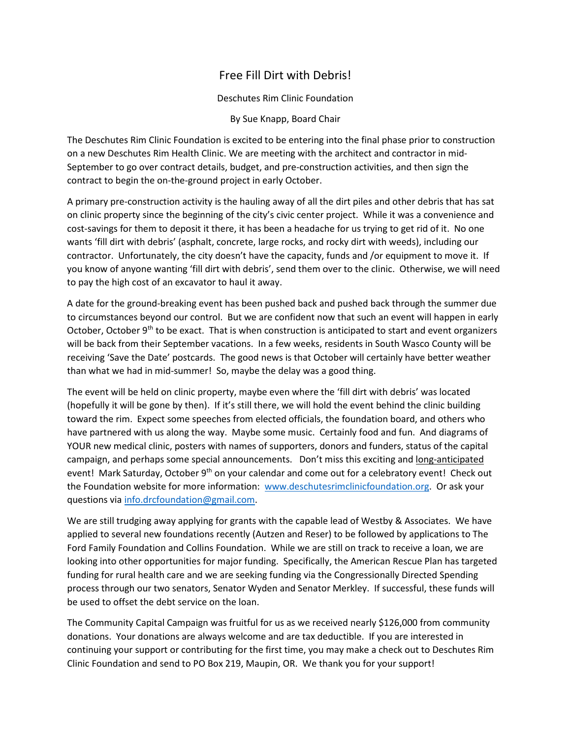## Free Fill Dirt with Debris!

Deschutes Rim Clinic Foundation

By Sue Knapp, Board Chair

The Deschutes Rim Clinic Foundation is excited to be entering into the final phase prior to construction on a new Deschutes Rim Health Clinic. We are meeting with the architect and contractor in mid-September to go over contract details, budget, and pre-construction activities, and then sign the contract to begin the on-the-ground project in early October.

A primary pre-construction activity is the hauling away of all the dirt piles and other debris that has sat on clinic property since the beginning of the city's civic center project. While it was a convenience and cost-savings for them to deposit it there, it has been a headache for us trying to get rid of it. No one wants 'fill dirt with debris' (asphalt, concrete, large rocks, and rocky dirt with weeds), including our contractor. Unfortunately, the city doesn't have the capacity, funds and /or equipment to move it. If you know of anyone wanting 'fill dirt with debris', send them over to the clinic. Otherwise, we will need to pay the high cost of an excavator to haul it away.

A date for the ground-breaking event has been pushed back and pushed back through the summer due to circumstances beyond our control. But we are confident now that such an event will happen in early October, October  $9<sup>th</sup>$  to be exact. That is when construction is anticipated to start and event organizers will be back from their September vacations. In a few weeks, residents in South Wasco County will be receiving 'Save the Date' postcards. The good news is that October will certainly have better weather than what we had in mid-summer! So, maybe the delay was a good thing.

The event will be held on clinic property, maybe even where the 'fill dirt with debris' was located (hopefully it will be gone by then). If it's still there, we will hold the event behind the clinic building toward the rim. Expect some speeches from elected officials, the foundation board, and others who have partnered with us along the way. Maybe some music. Certainly food and fun. And diagrams of YOUR new medical clinic, posters with names of supporters, donors and funders, status of the capital campaign, and perhaps some special announcements. Don't miss this exciting and long-anticipated event! Mark Saturday, October 9<sup>th</sup> on your calendar and come out for a celebratory event! Check out the Foundation website for more information: [www.deschutesrimclinicfoundation.org.](http://www.deschutesrimclinicfoundation.org/) Or ask your questions via [info.drcfoundation@gmail.com.](mailto:info.drcfoundation@gmail.com)

We are still trudging away applying for grants with the capable lead of Westby & Associates. We have applied to several new foundations recently (Autzen and Reser) to be followed by applications to The Ford Family Foundation and Collins Foundation. While we are still on track to receive a loan, we are looking into other opportunities for major funding. Specifically, the American Rescue Plan has targeted funding for rural health care and we are seeking funding via the Congressionally Directed Spending process through our two senators, Senator Wyden and Senator Merkley. If successful, these funds will be used to offset the debt service on the loan.

The Community Capital Campaign was fruitful for us as we received nearly \$126,000 from community donations. Your donations are always welcome and are tax deductible. If you are interested in continuing your support or contributing for the first time, you may make a check out to Deschutes Rim Clinic Foundation and send to PO Box 219, Maupin, OR. We thank you for your support!